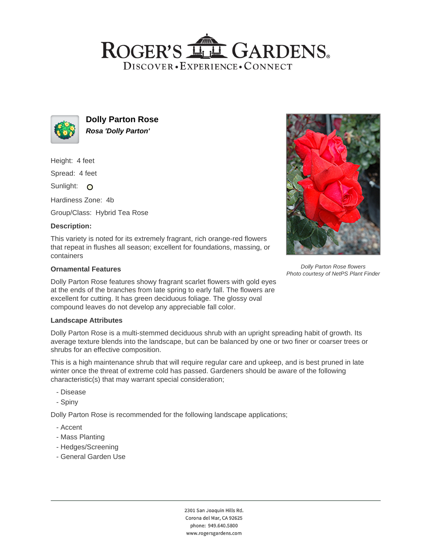# ROGER'S LL GARDENS. DISCOVER · EXPERIENCE · CONNECT



**Dolly Parton Rose Rosa 'Dolly Parton'**

Height: 4 feet

Spread: 4 feet

Sunlight: O

Hardiness Zone: 4b

Group/Class: Hybrid Tea Rose

# **Description:**

This variety is noted for its extremely fragrant, rich orange-red flowers that repeat in flushes all season; excellent for foundations, massing, or containers

### **Ornamental Features**

Dolly Parton Rose features showy fragrant scarlet flowers with gold eyes at the ends of the branches from late spring to early fall. The flowers are excellent for cutting. It has green deciduous foliage. The glossy oval compound leaves do not develop any appreciable fall color.

#### **Landscape Attributes**

Dolly Parton Rose is a multi-stemmed deciduous shrub with an upright spreading habit of growth. Its average texture blends into the landscape, but can be balanced by one or two finer or coarser trees or shrubs for an effective composition.

This is a high maintenance shrub that will require regular care and upkeep, and is best pruned in late winter once the threat of extreme cold has passed. Gardeners should be aware of the following characteristic(s) that may warrant special consideration;

- Disease
- Spiny

Dolly Parton Rose is recommended for the following landscape applications;

- Accent
- Mass Planting
- Hedges/Screening
- General Garden Use





Dolly Parton Rose flowers Photo courtesy of NetPS Plant Finder